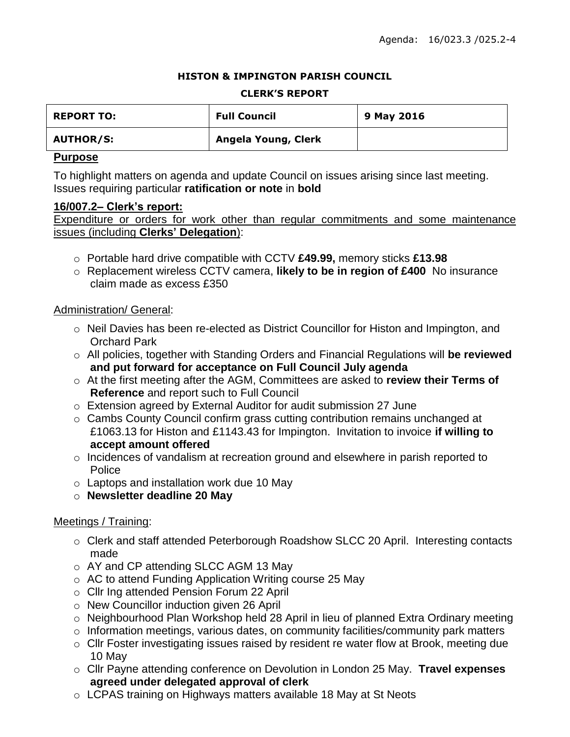#### **HISTON & IMPINGTON PARISH COUNCIL**

#### **CLERK'S REPORT**

| <b>REPORT TO:</b> | <b>Full Council</b> | 9 May 2016 |
|-------------------|---------------------|------------|
| <b>AUTHOR/S:</b>  | Angela Young, Clerk |            |

### **Purpose**

To highlight matters on agenda and update Council on issues arising since last meeting. Issues requiring particular **ratification or note** in **bold**

#### **16/007.2– Clerk's report:**

Expenditure or orders for work other than regular commitments and some maintenance issues (including **Clerks' Delegation**):

- o Portable hard drive compatible with CCTV **£49.99,** memory sticks **£13.98**
- o Replacement wireless CCTV camera, **likely to be in region of £400** No insurance claim made as excess £350

# Administration/ General:

- $\circ$  Neil Davies has been re-elected as District Councillor for Histon and Impington, and Orchard Park
- o All policies, together with Standing Orders and Financial Regulations will **be reviewed and put forward for acceptance on Full Council July agenda**
- o At the first meeting after the AGM, Committees are asked to **review their Terms of Reference** and report such to Full Council
- o Extension agreed by External Auditor for audit submission 27 June
- o Cambs County Council confirm grass cutting contribution remains unchanged at £1063.13 for Histon and £1143.43 for Impington. Invitation to invoice **if willing to accept amount offered**
- $\circ$  Incidences of vandalism at recreation ground and elsewhere in parish reported to **Police**
- o Laptops and installation work due 10 May
- o **Newsletter deadline 20 May**

# Meetings / Training:

- o Clerk and staff attended Peterborough Roadshow SLCC 20 April. Interesting contacts made
- o AY and CP attending SLCC AGM 13 May
- o AC to attend Funding Application Writing course 25 May
- o Cllr Ing attended Pension Forum 22 April
- o New Councillor induction given 26 April
- o Neighbourhood Plan Workshop held 28 April in lieu of planned Extra Ordinary meeting
- o Information meetings, various dates, on community facilities/community park matters
- o Cllr Foster investigating issues raised by resident re water flow at Brook, meeting due 10 May
- o Cllr Payne attending conference on Devolution in London 25 May. **Travel expenses agreed under delegated approval of clerk**
- o LCPAS training on Highways matters available 18 May at St Neots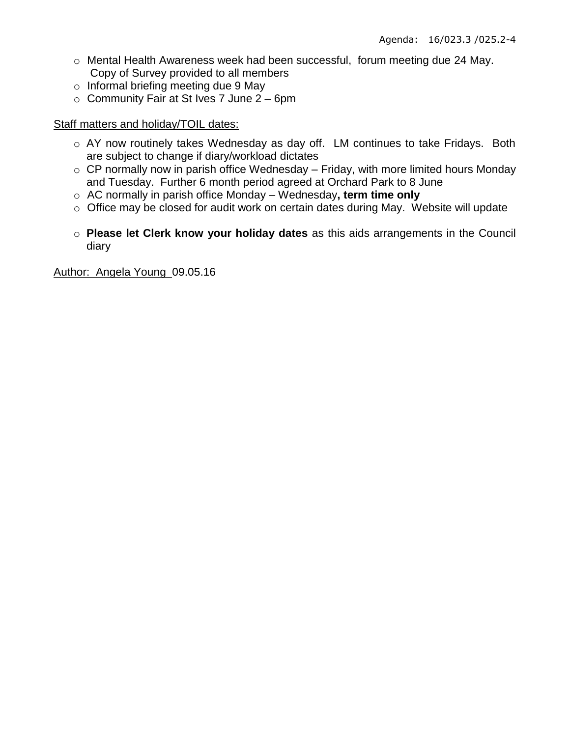- o Mental Health Awareness week had been successful, forum meeting due 24 May. Copy of Survey provided to all members
- o Informal briefing meeting due 9 May
- $\circ$  Community Fair at St Ives 7 June 2 6pm

## Staff matters and holiday/TOIL dates:

- o AY now routinely takes Wednesday as day off. LM continues to take Fridays. Both are subject to change if diary/workload dictates
- $\circ$  CP normally now in parish office Wednesday Friday, with more limited hours Monday and Tuesday. Further 6 month period agreed at Orchard Park to 8 June
- o AC normally in parish office Monday Wednesday**, term time only**
- o Office may be closed for audit work on certain dates during May. Website will update
- o **Please let Clerk know your holiday dates** as this aids arrangements in the Council diary

Author: Angela Young 09.05.16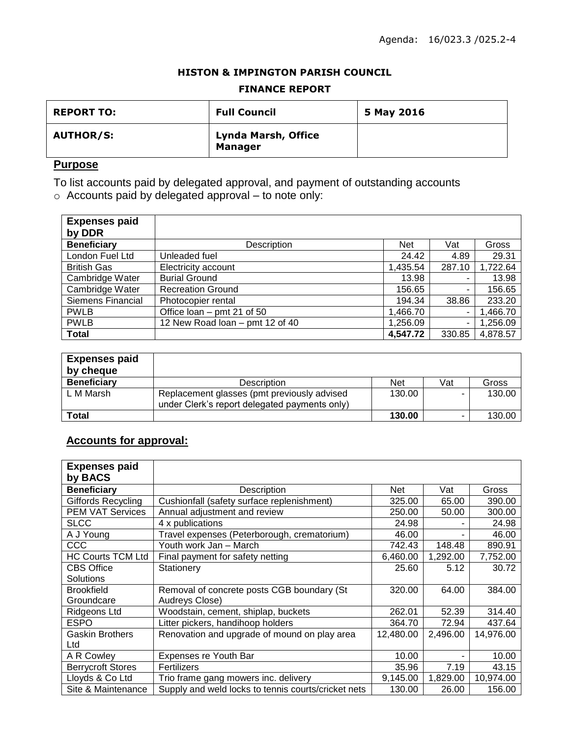#### **HISTON & IMPINGTON PARISH COUNCIL**

#### **FINANCE REPORT**

| <b>REPORT TO:</b> | <b>Full Council</b>                          | 5 May 2016 |
|-------------------|----------------------------------------------|------------|
| <b>AUTHOR/S:</b>  | <b>Lynda Marsh, Office</b><br><b>Manager</b> |            |

# **Purpose**

To list accounts paid by delegated approval, and payment of outstanding accounts

 $\circ$  Accounts paid by delegated approval – to note only:

| <b>Expenses paid</b><br>by DDR |                                 |            |        |          |
|--------------------------------|---------------------------------|------------|--------|----------|
| <b>Beneficiary</b>             | Description                     | <b>Net</b> | Vat    | Gross    |
| London Fuel Ltd                | Unleaded fuel                   | 24.42      | 4.89   | 29.31    |
| <b>British Gas</b>             | Electricity account             | 1.435.54   | 287.10 | 1,722.64 |
| Cambridge Water                | <b>Burial Ground</b>            | 13.98      | ٠.     | 13.98    |
| Cambridge Water                | <b>Recreation Ground</b>        | 156.65     | ٠.     | 156.65   |
| Siemens Financial              | Photocopier rental              | 194.34     | 38.86  | 233.20   |
| <b>PWLB</b>                    | Office loan – pmt 21 of 50      | 1,466.70   | ٠      | 1,466.70 |
| <b>PWLB</b>                    | 12 New Road loan - pmt 12 of 40 | 1,256.09   | ۰.     | 1,256.09 |
| <b>Total</b>                   |                                 | 4,547.72   | 330.85 | 4,878.57 |

| <b>Expenses paid</b><br>by cheque |                                                                                              |            |     |        |
|-----------------------------------|----------------------------------------------------------------------------------------------|------------|-----|--------|
| <b>Beneficiary</b>                | Description                                                                                  | <b>Net</b> | Vat | Gross  |
| L M Marsh                         | Replacement glasses (pmt previously advised<br>under Clerk's report delegated payments only) | 130.00     |     | 130.00 |
| <b>Total</b>                      |                                                                                              | 130.00     |     | 130.00 |

# **Accounts for approval:**

| <b>Expenses paid</b>      |                                                     |           |          |           |
|---------------------------|-----------------------------------------------------|-----------|----------|-----------|
| by BACS                   |                                                     |           |          |           |
| <b>Beneficiary</b>        | Description                                         | Net       | Vat      | Gross     |
| <b>Giffords Recycling</b> | Cushionfall (safety surface replenishment)          | 325.00    | 65.00    | 390.00    |
| <b>PEM VAT Services</b>   | Annual adjustment and review                        | 250.00    | 50.00    | 300.00    |
| <b>SLCC</b>               | 4 x publications                                    | 24.98     |          | 24.98     |
| A J Young                 | Travel expenses (Peterborough, crematorium)         | 46.00     |          | 46.00     |
| CCC                       | Youth work Jan - March                              | 742.43    | 148.48   | 890.91    |
| <b>HC Courts TCM Ltd</b>  | Final payment for safety netting                    | 6,460.00  | 1,292.00 | 7,752.00  |
| <b>CBS Office</b>         | Stationery                                          | 25.60     | 5.12     | 30.72     |
| Solutions                 |                                                     |           |          |           |
| <b>Brookfield</b>         | Removal of concrete posts CGB boundary (St          | 320.00    | 64.00    | 384.00    |
| Groundcare                | Audreys Close)                                      |           |          |           |
| <b>Ridgeons Ltd</b>       | Woodstain, cement, shiplap, buckets                 | 262.01    | 52.39    | 314.40    |
| <b>ESPO</b>               | Litter pickers, handihoop holders                   | 364.70    | 72.94    | 437.64    |
| <b>Gaskin Brothers</b>    | Renovation and upgrade of mound on play area        | 12,480.00 | 2,496.00 | 14,976.00 |
| Ltd                       |                                                     |           |          |           |
| A R Cowley                | Expenses re Youth Bar                               | 10.00     |          | 10.00     |
| <b>Berrycroft Stores</b>  | Fertilizers                                         | 35.96     | 7.19     | 43.15     |
| Lloyds & Co Ltd           | Trio frame gang mowers inc. delivery                | 9,145.00  | 1,829.00 | 10,974.00 |
| Site & Maintenance        | Supply and weld locks to tennis courts/cricket nets | 130.00    | 26.00    | 156.00    |